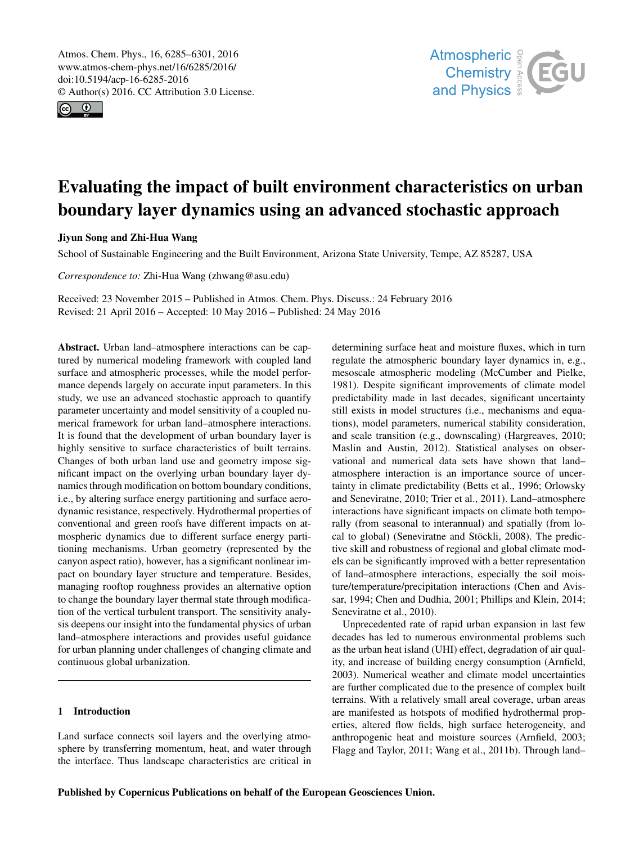<span id="page-0-0"></span>Atmos. Chem. Phys., 16, 6285–6301, 2016 www.atmos-chem-phys.net/16/6285/2016/ doi:10.5194/acp-16-6285-2016 © Author(s) 2016. CC Attribution 3.0 License.





# Evaluating the impact of built environment characteristics on urban boundary layer dynamics using an advanced stochastic approach

# Jiyun Song and Zhi-Hua Wang

School of Sustainable Engineering and the Built Environment, Arizona State University, Tempe, AZ 85287, USA

*Correspondence to:* Zhi-Hua Wang (zhwang@asu.edu)

Received: 23 November 2015 – Published in Atmos. Chem. Phys. Discuss.: 24 February 2016 Revised: 21 April 2016 – Accepted: 10 May 2016 – Published: 24 May 2016

Abstract. Urban land–atmosphere interactions can be captured by numerical modeling framework with coupled land surface and atmospheric processes, while the model performance depends largely on accurate input parameters. In this study, we use an advanced stochastic approach to quantify parameter uncertainty and model sensitivity of a coupled numerical framework for urban land–atmosphere interactions. It is found that the development of urban boundary layer is highly sensitive to surface characteristics of built terrains. Changes of both urban land use and geometry impose significant impact on the overlying urban boundary layer dynamics through modification on bottom boundary conditions, i.e., by altering surface energy partitioning and surface aerodynamic resistance, respectively. Hydrothermal properties of conventional and green roofs have different impacts on atmospheric dynamics due to different surface energy partitioning mechanisms. Urban geometry (represented by the canyon aspect ratio), however, has a significant nonlinear impact on boundary layer structure and temperature. Besides, managing rooftop roughness provides an alternative option to change the boundary layer thermal state through modification of the vertical turbulent transport. The sensitivity analysis deepens our insight into the fundamental physics of urban land–atmosphere interactions and provides useful guidance for urban planning under challenges of changing climate and continuous global urbanization.

# 1 Introduction

Land surface connects soil layers and the overlying atmosphere by transferring momentum, heat, and water through the interface. Thus landscape characteristics are critical in determining surface heat and moisture fluxes, which in turn regulate the atmospheric boundary layer dynamics in, e.g., mesoscale atmospheric modeling (McCumber and Pielke, 1981). Despite significant improvements of climate model predictability made in last decades, significant uncertainty still exists in model structures (i.e., mechanisms and equations), model parameters, numerical stability consideration, and scale transition (e.g., downscaling) (Hargreaves, 2010; Maslin and Austin, 2012). Statistical analyses on observational and numerical data sets have shown that land– atmosphere interaction is an importance source of uncertainty in climate predictability (Betts et al., 1996; Orlowsky and Seneviratne, 2010; Trier et al., 2011). Land–atmosphere interactions have significant impacts on climate both temporally (from seasonal to interannual) and spatially (from local to global) (Seneviratne and Stöckli, 2008). The predictive skill and robustness of regional and global climate models can be significantly improved with a better representation of land–atmosphere interactions, especially the soil moisture/temperature/precipitation interactions (Chen and Avissar, 1994; Chen and Dudhia, 2001; Phillips and Klein, 2014; Seneviratne et al., 2010).

Unprecedented rate of rapid urban expansion in last few decades has led to numerous environmental problems such as the urban heat island (UHI) effect, degradation of air quality, and increase of building energy consumption (Arnfield, 2003). Numerical weather and climate model uncertainties are further complicated due to the presence of complex built terrains. With a relatively small areal coverage, urban areas are manifested as hotspots of modified hydrothermal properties, altered flow fields, high surface heterogeneity, and anthropogenic heat and moisture sources (Arnfield, 2003; Flagg and Taylor, 2011; Wang et al., 2011b). Through land–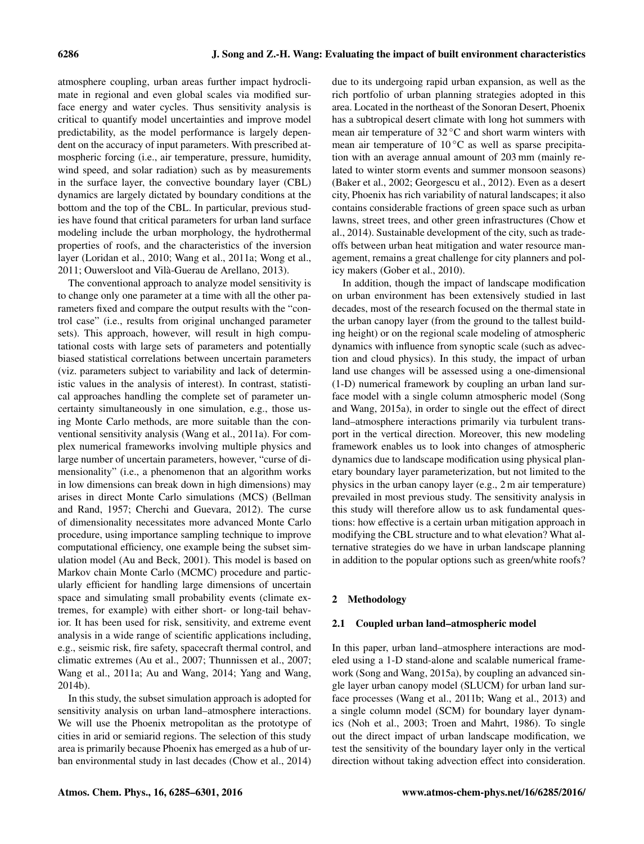atmosphere coupling, urban areas further impact hydroclimate in regional and even global scales via modified surface energy and water cycles. Thus sensitivity analysis is critical to quantify model uncertainties and improve model predictability, as the model performance is largely dependent on the accuracy of input parameters. With prescribed atmospheric forcing (i.e., air temperature, pressure, humidity, wind speed, and solar radiation) such as by measurements in the surface layer, the convective boundary layer (CBL) dynamics are largely dictated by boundary conditions at the bottom and the top of the CBL. In particular, previous studies have found that critical parameters for urban land surface modeling include the urban morphology, the hydrothermal properties of roofs, and the characteristics of the inversion layer (Loridan et al., 2010; Wang et al., 2011a; Wong et al., 2011; Ouwersloot and Vilà-Guerau de Arellano, 2013).

The conventional approach to analyze model sensitivity is to change only one parameter at a time with all the other parameters fixed and compare the output results with the "control case" (i.e., results from original unchanged parameter sets). This approach, however, will result in high computational costs with large sets of parameters and potentially biased statistical correlations between uncertain parameters (viz. parameters subject to variability and lack of deterministic values in the analysis of interest). In contrast, statistical approaches handling the complete set of parameter uncertainty simultaneously in one simulation, e.g., those using Monte Carlo methods, are more suitable than the conventional sensitivity analysis (Wang et al., 2011a). For complex numerical frameworks involving multiple physics and large number of uncertain parameters, however, "curse of dimensionality" (i.e., a phenomenon that an algorithm works in low dimensions can break down in high dimensions) may arises in direct Monte Carlo simulations (MCS) (Bellman and Rand, 1957; Cherchi and Guevara, 2012). The curse of dimensionality necessitates more advanced Monte Carlo procedure, using importance sampling technique to improve computational efficiency, one example being the subset simulation model (Au and Beck, 2001). This model is based on Markov chain Monte Carlo (MCMC) procedure and particularly efficient for handling large dimensions of uncertain space and simulating small probability events (climate extremes, for example) with either short- or long-tail behavior. It has been used for risk, sensitivity, and extreme event analysis in a wide range of scientific applications including, e.g., seismic risk, fire safety, spacecraft thermal control, and climatic extremes (Au et al., 2007; Thunnissen et al., 2007; Wang et al., 2011a; Au and Wang, 2014; Yang and Wang, 2014b).

In this study, the subset simulation approach is adopted for sensitivity analysis on urban land–atmosphere interactions. We will use the Phoenix metropolitan as the prototype of cities in arid or semiarid regions. The selection of this study area is primarily because Phoenix has emerged as a hub of urban environmental study in last decades (Chow et al., 2014) due to its undergoing rapid urban expansion, as well as the rich portfolio of urban planning strategies adopted in this area. Located in the northeast of the Sonoran Desert, Phoenix has a subtropical desert climate with long hot summers with mean air temperature of 32 ℃ and short warm winters with mean air temperature of  $10^{\circ}$ C as well as sparse precipitation with an average annual amount of 203 mm (mainly related to winter storm events and summer monsoon seasons) (Baker et al., 2002; Georgescu et al., 2012). Even as a desert city, Phoenix has rich variability of natural landscapes; it also contains considerable fractions of green space such as urban lawns, street trees, and other green infrastructures (Chow et al., 2014). Sustainable development of the city, such as tradeoffs between urban heat mitigation and water resource management, remains a great challenge for city planners and policy makers (Gober et al., 2010).

In addition, though the impact of landscape modification on urban environment has been extensively studied in last decades, most of the research focused on the thermal state in the urban canopy layer (from the ground to the tallest building height) or on the regional scale modeling of atmospheric dynamics with influence from synoptic scale (such as advection and cloud physics). In this study, the impact of urban land use changes will be assessed using a one-dimensional (1-D) numerical framework by coupling an urban land surface model with a single column atmospheric model (Song and Wang, 2015a), in order to single out the effect of direct land–atmosphere interactions primarily via turbulent transport in the vertical direction. Moreover, this new modeling framework enables us to look into changes of atmospheric dynamics due to landscape modification using physical planetary boundary layer parameterization, but not limited to the physics in the urban canopy layer (e.g., 2 m air temperature) prevailed in most previous study. The sensitivity analysis in this study will therefore allow us to ask fundamental questions: how effective is a certain urban mitigation approach in modifying the CBL structure and to what elevation? What alternative strategies do we have in urban landscape planning in addition to the popular options such as green/white roofs?

### 2 Methodology

## 2.1 Coupled urban land–atmospheric model

In this paper, urban land–atmosphere interactions are modeled using a 1-D stand-alone and scalable numerical framework (Song and Wang, 2015a), by coupling an advanced single layer urban canopy model (SLUCM) for urban land surface processes (Wang et al., 2011b; Wang et al., 2013) and a single column model (SCM) for boundary layer dynamics (Noh et al., 2003; Troen and Mahrt, 1986). To single out the direct impact of urban landscape modification, we test the sensitivity of the boundary layer only in the vertical direction without taking advection effect into consideration.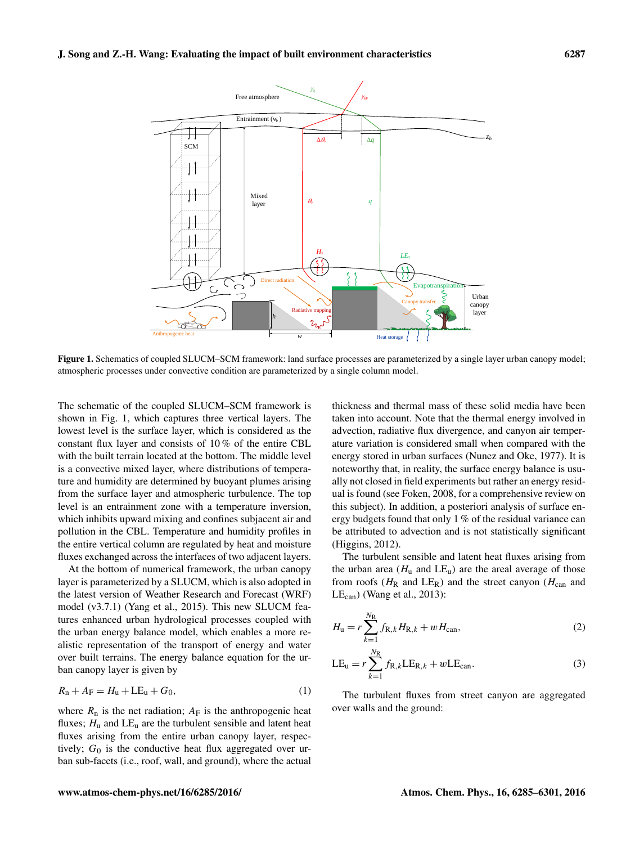

Figure 1. Schematics of coupled SLUCM–SCM framework: land surface processes are parameterized by a single layer urban canopy model; atmospheric processes under convective condition are parameterized by a single column model.

The schematic of the coupled SLUCM–SCM framework is shown in Fig. 1, which captures three vertical layers. The lowest level is the surface layer, which is considered as the constant flux layer and consists of 10 % of the entire CBL with the built terrain located at the bottom. The middle level is a convective mixed layer, where distributions of temperature and humidity are determined by buoyant plumes arising from the surface layer and atmospheric turbulence. The top level is an entrainment zone with a temperature inversion, which inhibits upward mixing and confines subjacent air and pollution in the CBL. Temperature and humidity profiles in the entire vertical column are regulated by heat and moisture fluxes exchanged across the interfaces of two adjacent layers.

At the bottom of numerical framework, the urban canopy layer is parameterized by a SLUCM, which is also adopted in the latest version of Weather Research and Forecast (WRF) model (v3.7.1) (Yang et al., 2015). This new SLUCM features enhanced urban hydrological processes coupled with the urban energy balance model, which enables a more realistic representation of the transport of energy and water over built terrains. The energy balance equation for the urban canopy layer is given by

$$
R_{n} + A_{F} = H_{u} + LE_{u} + G_{0},
$$
\n(1)

where  $R_n$  is the net radiation;  $A_F$  is the anthropogenic heat fluxes;  $H_u$  and  $LE_u$  are the turbulent sensible and latent heat fluxes arising from the entire urban canopy layer, respectively;  $G_0$  is the conductive heat flux aggregated over urban sub-facets (i.e., roof, wall, and ground), where the actual thickness and thermal mass of these solid media have been taken into account. Note that the thermal energy involved in advection, radiative flux divergence, and canyon air temperature variation is considered small when compared with the energy stored in urban surfaces (Nunez and Oke, 1977). It is noteworthy that, in reality, the surface energy balance is usually not closed in field experiments but rather an energy residual is found (see Foken, 2008, for a comprehensive review on this subject). In addition, a posteriori analysis of surface energy budgets found that only 1 % of the residual variance can be attributed to advection and is not statistically significant (Higgins, 2012).

The turbulent sensible and latent heat fluxes arising from the urban area ( $H_u$  and  $LE_u$ ) are the areal average of those from roofs ( $H_R$  and  $LE_R$ ) and the street canyon ( $H_{can}$  and  $LE<sub>can</sub>$  (Wang et al., 2013):

$$
H_{\rm u} = r \sum_{k=1}^{N_{\rm R}} f_{\rm R,k} H_{\rm R,k} + w H_{\rm can},
$$
\n(2)

$$
LE_{u} = r \sum_{k=1}^{N_{\rm R}} f_{R,k} LE_{R,k} + wLE_{\rm can}.
$$
 (3)

The turbulent fluxes from street canyon are aggregated over walls and the ground: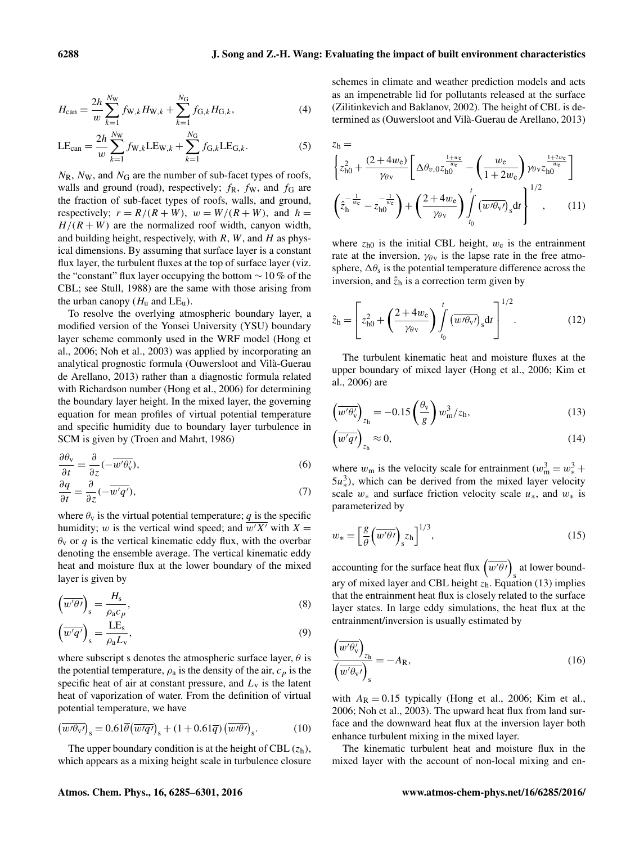$$
H_{\text{can}} = \frac{2h}{w} \sum_{k=1}^{N_{\text{W}}} f_{\text{W},k} H_{\text{W},k} + \sum_{k=1}^{N_{\text{G}}} f_{\text{G},k} H_{\text{G},k},\tag{4}
$$

$$
LE_{\text{can}} = \frac{2h}{w} \sum_{k=1}^{N_{\text{W}}} f_{\text{W},k} LE_{\text{W},k} + \sum_{k=1}^{N_{\text{G}}} f_{\text{G},k} LE_{\text{G},k}.
$$
 (5)

 $N_{\rm R}$ ,  $N_{\rm W}$ , and  $N_{\rm G}$  are the number of sub-facet types of roofs, walls and ground (road), respectively;  $f_{\rm R}$ ,  $f_{\rm W}$ , and  $f_{\rm G}$  are the fraction of sub-facet types of roofs, walls, and ground, respectively;  $r = R/(R+W)$ ,  $w = W/(R+W)$ , and  $h =$  $H/(R+W)$  are the normalized roof width, canyon width, and building height, respectively, with  $R$ ,  $W$ , and  $H$  as physical dimensions. By assuming that surface layer is a constant flux layer, the turbulent fluxes at the top of surface layer (viz. the "constant" flux layer occupying the bottom  $\sim 10\%$  of the CBL; see Stull, 1988) are the same with those arising from the urban canopy  $(H_u$  and  $LE_u)$ .

To resolve the overlying atmospheric boundary layer, a modified version of the Yonsei University (YSU) boundary layer scheme commonly used in the WRF model (Hong et al., 2006; Noh et al., 2003) was applied by incorporating an analytical prognostic formula (Ouwersloot and Vilà-Guerau de Arellano, 2013) rather than a diagnostic formula related with Richardson number (Hong et al., 2006) for determining the boundary layer height. In the mixed layer, the governing equation for mean profiles of virtual potential temperature and specific humidity due to boundary layer turbulence in SCM is given by (Troen and Mahrt, 1986)

$$
\frac{\partial \theta_{\mathbf{v}}}{\partial t} = \frac{\partial}{\partial z} (-\overline{w'\theta'_{\mathbf{v}}}),\tag{6}
$$

$$
\frac{\partial q}{\partial t} = \frac{\partial}{\partial z}(-\overline{w'q'}),\tag{7}
$$

where  $\theta_v$  is the virtual potential temperature; q is the specific humidity; w is the vertical wind speed; and  $\overline{w'X'}$  with  $X =$  $\theta_{\rm v}$  or q is the vertical kinematic eddy flux, with the overbar denoting the ensemble average. The vertical kinematic eddy heat and moisture flux at the lower boundary of the mixed layer is given by

$$
\left(\overline{w'\theta'}\right)_{\rm s} = \frac{H_{\rm s}}{\rho_{\rm a}c_p},\tag{8}
$$

$$
\left(\overline{w'q'}\right)_{\rm s} = \frac{\rm LE_{\rm s}}{\rho_{\rm a}L_{\rm v}},\tag{9}
$$

where subscript s denotes the atmospheric surface layer,  $\theta$  is the potential temperature,  $\rho_a$  is the density of the air,  $c_p$  is the specific heat of air at constant pressure, and  $L_v$  is the latent heat of vaporization of water. From the definition of virtual potential temperature, we have

$$
\left(\overline{w'\theta_{\rm V}}\right)_{\rm s} = 0.61\overline{\theta}\left(\overline{w'q'}\right)_{\rm s} + (1 + 0.61\overline{q})\left(\overline{w'\theta'}\right)_{\rm s}.\tag{10}
$$

The upper boundary condition is at the height of CBL  $(z_h)$ , which appears as a mixing height scale in turbulence closure schemes in climate and weather prediction models and acts as an impenetrable lid for pollutants released at the surface (Zilitinkevich and Baklanov, 2002). The height of CBL is determined as (Ouwersloot and Vilà-Guerau de Arellano, 2013)

$$
z_{h} = \left\{ z_{h0}^{2} + \frac{(2+4w_{e})}{\gamma_{\theta v}} \left[ \Delta \theta_{v,0} z_{h0}^{\frac{1+w_{e}}{w_{e}}} - \left( \frac{w_{e}}{1+2w_{e}} \right) \gamma_{\theta v} z_{h0}^{\frac{1+2w_{e}}{w_{e}}} \right] \right\}
$$

$$
\left( \hat{z}_{h}^{-\frac{1}{w_{e}}} - z_{h0}^{-\frac{1}{w_{e}}} \right) + \left( \frac{2+4w_{e}}{\gamma_{\theta v}} \right) \int_{t_{0}}^{t} \left( \overline{w/\theta_{v}} \right)_{s} dt \right\}^{1/2}, \qquad (11)
$$

where  $z_{h0}$  is the initial CBL height,  $w_e$  is the entrainment rate at the inversion,  $\gamma_{\theta}$  is the lapse rate in the free atmosphere,  $\Delta \theta_s$  is the potential temperature difference across the inversion, and  $\hat{z}_h$  is a correction term given by

$$
\hat{z}_{\rm h} = \left[ z_{\rm h0}^2 + \left( \frac{2 + 4w_{\rm e}}{\gamma_{\theta \rm v}} \right) \int_{t_0}^t \left( \overline{w/\theta_{\rm v}} \right)_{\rm s} \mathrm{d}t \right]^{1/2} . \tag{12}
$$

The turbulent kinematic heat and moisture fluxes at the upper boundary of mixed layer (Hong et al., 2006; Kim et al., 2006) are

$$
\left(\overline{w'\theta'_{\rm v}}\right)_{z_{\rm h}} = -0.15 \left(\frac{\theta_{\rm v}}{g}\right) w_{\rm m}^3 / z_{\rm h},\tag{13}
$$

$$
\left(\overline{w'q'}\right)_{z_h} \approx 0,\tag{14}
$$

where  $w_m$  is the velocity scale for entrainment  $(w_m^3 = w_*^3 +$  $5u_*^3$ ), which can be derived from the mixed layer velocity scale  $w_*$  and surface friction velocity scale  $u_*$ , and  $w_*$  is parameterized by

$$
w_* = \left[\frac{g}{\theta} \left(\overline{w'\theta'}\right)_s z_h\right]^{1/3},\tag{15}
$$

accounting for the surface heat flux  $\left(\overline{w'\theta'}\right)$  at lower boundary of mixed layer and CBL height  $\sum_{k=1}^{N_s}$  Equation (13) implies that the entrainment heat flux is closely related to the surface layer states. In large eddy simulations, the heat flux at the entrainment/inversion is usually estimated by

$$
\frac{\left(\overline{w'\theta'_{\mathsf{v}}}\right)_{z_{\mathsf{h}}}}{\left(\overline{w'\theta_{\mathsf{v}'}}\right)_{\mathsf{s}}} = -A_{\mathsf{R}},\tag{16}
$$

with  $A_R = 0.15$  typically (Hong et al., 2006; Kim et al., 2006; Noh et al., 2003). The upward heat flux from land surface and the downward heat flux at the inversion layer both enhance turbulent mixing in the mixed layer.

The kinematic turbulent heat and moisture flux in the mixed layer with the account of non-local mixing and en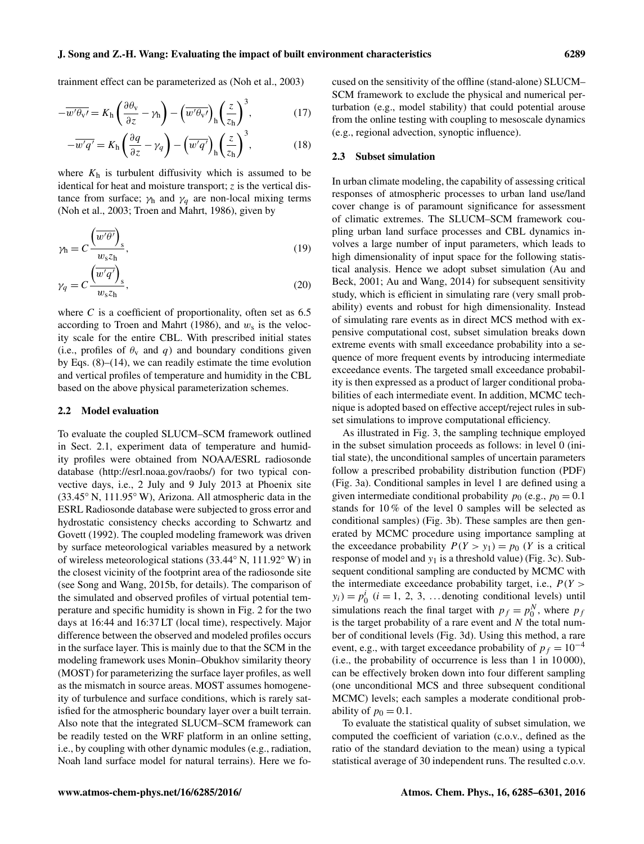trainment effect can be parameterized as (Noh et al., 2003)

$$
-\overline{w'\theta_{\rm v'}} = K_{\rm h} \left(\frac{\partial \theta_{\rm v}}{\partial z} - \gamma_{\rm h}\right) - \left(\overline{w'\theta_{\rm v'}}\right)_{\rm h} \left(\frac{z}{z_{\rm h}}\right)^3,\tag{17}
$$

$$
-\overline{w'q'} = K_{\rm h} \left(\frac{\partial q}{\partial z} - \gamma_q\right) - \left(\overline{w'q'}\right)_{\rm h} \left(\frac{z}{z_{\rm h}}\right)^3,\tag{18}
$$

where  $K<sub>h</sub>$  is turbulent diffusivity which is assumed to be identical for heat and moisture transport;  $z$  is the vertical distance from surface;  $\gamma_h$  and  $\gamma_a$  are non-local mixing terms (Noh et al., 2003; Troen and Mahrt, 1986), given by

$$
\gamma_{\rm h} = C \frac{\left(\overline{w'\theta'}\right)_s}{w_s z_{\rm h}},\tag{19}
$$

$$
\gamma_q = C \frac{\left(\overline{w'q'}\right)_s}{w_s z_h},\tag{20}
$$

where  $C$  is a coefficient of proportionality, often set as  $6.5$ according to Troen and Mahrt (1986), and  $w_s$  is the velocity scale for the entire CBL. With prescribed initial states (i.e., profiles of  $\theta_v$  and q) and boundary conditions given by Eqs.  $(8)$ – $(14)$ , we can readily estimate the time evolution and vertical profiles of temperature and humidity in the CBL based on the above physical parameterization schemes.

#### 2.2 Model evaluation

To evaluate the coupled SLUCM–SCM framework outlined in Sect. 2.1, experiment data of temperature and humidity profiles were obtained from NOAA/ESRL radiosonde database [\(http://esrl.noaa.gov/raobs/\)](http://esrl.noaa.gov/raobs/) for two typical convective days, i.e., 2 July and 9 July 2013 at Phoenix site (33.45◦ N, 111.95◦ W), Arizona. All atmospheric data in the ESRL Radiosonde database were subjected to gross error and hydrostatic consistency checks according to Schwartz and Govett (1992). The coupled modeling framework was driven by surface meteorological variables measured by a network of wireless meteorological stations (33.44◦ N, 111.92◦ W) in the closest vicinity of the footprint area of the radiosonde site (see Song and Wang, 2015b, for details). The comparison of the simulated and observed profiles of virtual potential temperature and specific humidity is shown in Fig. 2 for the two days at 16:44 and 16:37 LT (local time), respectively. Major difference between the observed and modeled profiles occurs in the surface layer. This is mainly due to that the SCM in the modeling framework uses Monin–Obukhov similarity theory (MOST) for parameterizing the surface layer profiles, as well as the mismatch in source areas. MOST assumes homogeneity of turbulence and surface conditions, which is rarely satisfied for the atmospheric boundary layer over a built terrain. Also note that the integrated SLUCM–SCM framework can be readily tested on the WRF platform in an online setting, i.e., by coupling with other dynamic modules (e.g., radiation, Noah land surface model for natural terrains). Here we focused on the sensitivity of the offline (stand-alone) SLUCM– SCM framework to exclude the physical and numerical perturbation (e.g., model stability) that could potential arouse from the online testing with coupling to mesoscale dynamics (e.g., regional advection, synoptic influence).

#### 2.3 Subset simulation

In urban climate modeling, the capability of assessing critical responses of atmospheric processes to urban land use/land cover change is of paramount significance for assessment of climatic extremes. The SLUCM–SCM framework coupling urban land surface processes and CBL dynamics involves a large number of input parameters, which leads to high dimensionality of input space for the following statistical analysis. Hence we adopt subset simulation (Au and Beck, 2001; Au and Wang, 2014) for subsequent sensitivity study, which is efficient in simulating rare (very small probability) events and robust for high dimensionality. Instead of simulating rare events as in direct MCS method with expensive computational cost, subset simulation breaks down extreme events with small exceedance probability into a sequence of more frequent events by introducing intermediate exceedance events. The targeted small exceedance probability is then expressed as a product of larger conditional probabilities of each intermediate event. In addition, MCMC technique is adopted based on effective accept/reject rules in subset simulations to improve computational efficiency.

As illustrated in Fig. 3, the sampling technique employed in the subset simulation proceeds as follows: in level 0 (initial state), the unconditional samples of uncertain parameters follow a prescribed probability distribution function (PDF) (Fig. 3a). Conditional samples in level 1 are defined using a given intermediate conditional probability  $p_0$  (e.g.,  $p_0 = 0.1$ ) stands for 10 % of the level 0 samples will be selected as conditional samples) (Fig. 3b). These samples are then generated by MCMC procedure using importance sampling at the exceedance probability  $P(Y > y_1) = p_0$  (Y is a critical response of model and  $y_1$  is a threshold value) (Fig. 3c). Subsequent conditional sampling are conducted by MCMC with the intermediate exceedance probability target, i.e.,  $P(Y >$  $y_i$ ) =  $p_0^i$  ( $i = 1, 2, 3, ...$  denoting conditional levels) until simulations reach the final target with  $p_f = p_0^N$ , where  $p_f$ is the target probability of a rare event and  $N$  the total number of conditional levels (Fig. 3d). Using this method, a rare event, e.g., with target exceedance probability of  $p_f = 10^{-4}$ (i.e., the probability of occurrence is less than 1 in 10 000), can be effectively broken down into four different sampling (one unconditional MCS and three subsequent conditional MCMC) levels; each samples a moderate conditional probability of  $p_0 = 0.1$ .

To evaluate the statistical quality of subset simulation, we computed the coefficient of variation (c.o.v., defined as the ratio of the standard deviation to the mean) using a typical statistical average of 30 independent runs. The resulted c.o.v.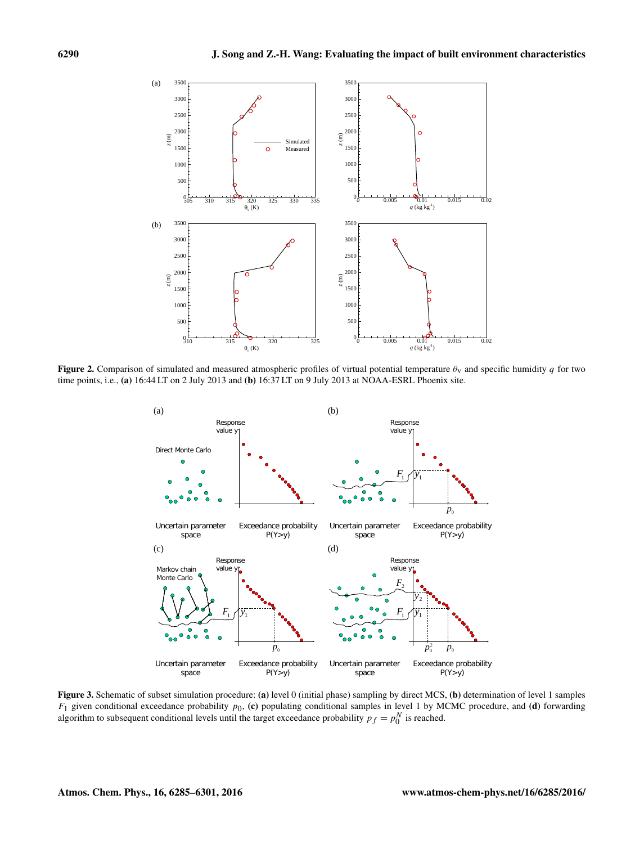

**Figure 2.** Comparison of simulated and measured atmospheric profiles of virtual potential temperature  $\theta<sub>V</sub>$  and specific humidity q for two time points, i.e., (a) 16:44 LT on 2 July 2013 and (b) 16:37 LT on 9 July 2013 at NOAA-ESRL Phoenix site.



Figure 3. Schematic of subset simulation procedure: (a) level 0 (initial phase) sampling by direct MCS, (b) determination of level 1 samples  $F_1$  given conditional exceedance probability  $p_0$ , (c) populating conditional samples in level 1 by MCMC procedure, and (d) forwarding algorithm to subsequent conditional levels until the target exceedance probability  $p_f = p_0^N$  is reached.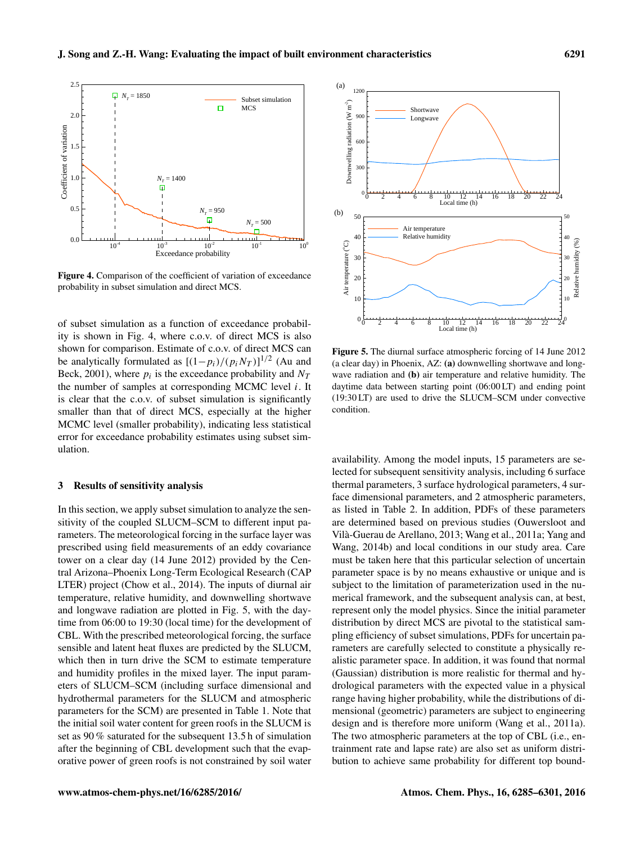

Figure 4. Comparison of the coefficient of variation of exceedance probability in subset simulation and direct MCS.

of subset simulation as a function of exceedance probability is shown in Fig. 4, where c.o.v. of direct MCS is also shown for comparison. Estimate of c.o.v. of direct MCS can be analytically formulated as  $[(1-p_i)/(p_i N_T)]^{1/2}$  (Au and Beck, 2001), where  $p_i$  is the exceedance probability and  $N_T$ the number of samples at corresponding MCMC level  $i$ . It is clear that the c.o.v. of subset simulation is significantly smaller than that of direct MCS, especially at the higher MCMC level (smaller probability), indicating less statistical error for exceedance probability estimates using subset simulation.

# 3 Results of sensitivity analysis

In this section, we apply subset simulation to analyze the sensitivity of the coupled SLUCM–SCM to different input parameters. The meteorological forcing in the surface layer was prescribed using field measurements of an eddy covariance tower on a clear day (14 June 2012) provided by the Central Arizona–Phoenix Long-Term Ecological Research (CAP LTER) project (Chow et al., 2014). The inputs of diurnal air temperature, relative humidity, and downwelling shortwave and longwave radiation are plotted in Fig. 5, with the daytime from 06:00 to 19:30 (local time) for the development of CBL. With the prescribed meteorological forcing, the surface sensible and latent heat fluxes are predicted by the SLUCM, which then in turn drive the SCM to estimate temperature and humidity profiles in the mixed layer. The input parameters of SLUCM–SCM (including surface dimensional and hydrothermal parameters for the SLUCM and atmospheric parameters for the SCM) are presented in Table 1. Note that the initial soil water content for green roofs in the SLUCM is set as 90 % saturated for the subsequent 13.5 h of simulation after the beginning of CBL development such that the evaporative power of green roofs is not constrained by soil water



Figure 5. The diurnal surface atmospheric forcing of 14 June 2012 (a clear day) in Phoenix, AZ: (a) downwelling shortwave and longwave radiation and (b) air temperature and relative humidity. The daytime data between starting point (06:00 LT) and ending point (19:30 LT) are used to drive the SLUCM–SCM under convective condition.

availability. Among the model inputs, 15 parameters are selected for subsequent sensitivity analysis, including 6 surface thermal parameters, 3 surface hydrological parameters, 4 surface dimensional parameters, and 2 atmospheric parameters, as listed in Table 2. In addition, PDFs of these parameters are determined based on previous studies (Ouwersloot and Vilà-Guerau de Arellano, 2013; Wang et al., 2011a; Yang and Wang, 2014b) and local conditions in our study area. Care must be taken here that this particular selection of uncertain parameter space is by no means exhaustive or unique and is subject to the limitation of parameterization used in the numerical framework, and the subsequent analysis can, at best, represent only the model physics. Since the initial parameter distribution by direct MCS are pivotal to the statistical sampling efficiency of subset simulations, PDFs for uncertain parameters are carefully selected to constitute a physically realistic parameter space. In addition, it was found that normal (Gaussian) distribution is more realistic for thermal and hydrological parameters with the expected value in a physical range having higher probability, while the distributions of dimensional (geometric) parameters are subject to engineering design and is therefore more uniform (Wang et al., 2011a). The two atmospheric parameters at the top of CBL (i.e., entrainment rate and lapse rate) are also set as uniform distribution to achieve same probability for different top bound-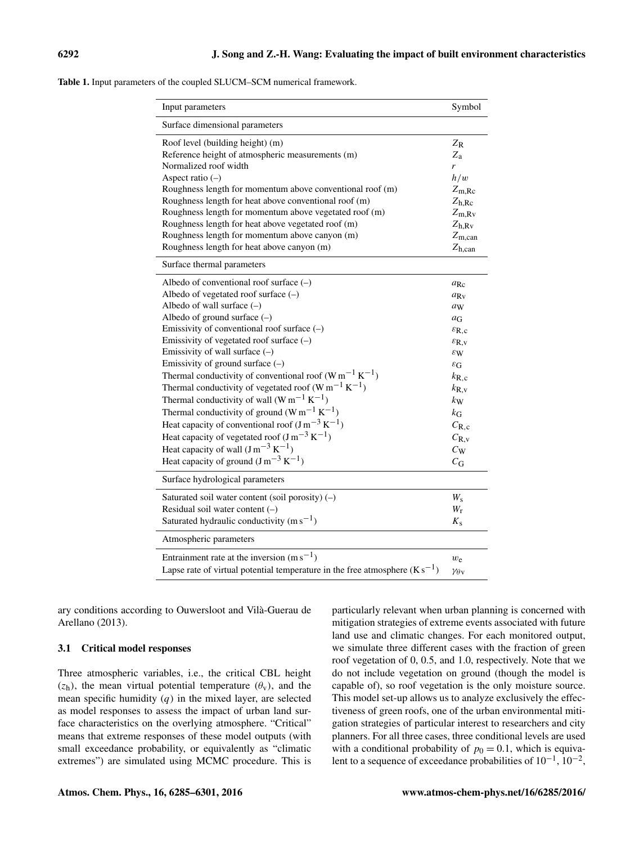| <b>Table 1.</b> Input parameters of the coupled SLUCM–SCM numerical framework. |  |
|--------------------------------------------------------------------------------|--|
|--------------------------------------------------------------------------------|--|

| Input parameters                                                                | Symbol                      |
|---------------------------------------------------------------------------------|-----------------------------|
| Surface dimensional parameters                                                  |                             |
| Roof level (building height) (m)                                                | $Z_{R}$                     |
| Reference height of atmospheric measurements (m)                                | $Z_{\rm a}$                 |
| Normalized roof width                                                           | r                           |
| Aspect ratio $(-)$                                                              | h/w                         |
| Roughness length for momentum above conventional roof (m)                       | $Z_{\rm m, Rc}$             |
| Roughness length for heat above conventional roof (m)                           | $Z_{h, Rc}$                 |
| Roughness length for momentum above vegetated roof (m)                          | $Z_{m,Rv}$                  |
| Roughness length for heat above vegetated roof (m)                              | $Z_{h,Rv}$                  |
| Roughness length for momentum above canyon (m)                                  | $Z_{m,can}$                 |
| Roughness length for heat above canyon (m)                                      | $Z_{h,can}$                 |
| Surface thermal parameters                                                      |                             |
| Albedo of conventional roof surface $(-)$                                       | $a_{\rm Rc}$                |
| Albedo of vegetated roof surface $(-)$                                          | $a_{\text{Rv}}$             |
| Albedo of wall surface $(-)$                                                    | aw                          |
| Albedo of ground surface $(-)$                                                  | $a_G$                       |
| Emissivity of conventional roof surface $(-)$                                   | $\varepsilon_{\rm R,c}$     |
| Emissivity of vegetated roof surface $(-)$                                      | $\varepsilon_{R,v}$         |
| Emissivity of wall surface $(-)$                                                | $\varepsilon_{\rm W}$       |
| Emissivity of ground surface $(-)$                                              | $\varepsilon_{\rm G}$       |
| Thermal conductivity of conventional roof $(W m^{-1} K^{-1})$                   | $k_{\rm R,c}$               |
| Thermal conductivity of vegetated roof (W m <sup>-1</sup> K <sup>-1</sup> )     | $k_{\rm R, v}$              |
| Thermal conductivity of wall $(Wm^{-1} K^{-1})$                                 | $k_{\rm W}$                 |
| Thermal conductivity of ground (W m <sup>-1</sup> K <sup>-1</sup> )             | $k_{\rm G}$                 |
| Heat capacity of conventional roof $(J m^{-3} K^{-1})$                          | $C_{R,c}$                   |
| Heat capacity of vegetated roof $(J m^{-3} K^{-1})$                             | $C_{R,v}$                   |
| Heat capacity of wall $(J m^{-3} K^{-1})$                                       | $C_{W}$                     |
| Heat capacity of ground $(J m^{-3} K^{-1})$                                     | $C_{\rm G}$                 |
| Surface hydrological parameters                                                 |                             |
| Saturated soil water content (soil porosity) $(-)$                              | $W_{\rm s}$                 |
| Residual soil water content $(-)$                                               | $W_{r}$                     |
| Saturated hydraulic conductivity $(m s^{-1})$                                   | $K_{\rm s}$                 |
| Atmospheric parameters                                                          |                             |
| Entrainment rate at the inversion $(m s^{-1})$                                  | $w_{e}$                     |
| Lapse rate of virtual potential temperature in the free atmosphere $(K s^{-1})$ | $\gamma_{\theta\mathrm{v}}$ |

ary conditions according to Ouwersloot and Vilà-Guerau de Arellano (2013).

# 3.1 Critical model responses

Three atmospheric variables, i.e., the critical CBL height  $(z<sub>h</sub>)$ , the mean virtual potential temperature  $(\theta_v)$ , and the mean specific humidity  $(q)$  in the mixed layer, are selected as model responses to assess the impact of urban land surface characteristics on the overlying atmosphere. "Critical" means that extreme responses of these model outputs (with small exceedance probability, or equivalently as "climatic extremes") are simulated using MCMC procedure. This is particularly relevant when urban planning is concerned with mitigation strategies of extreme events associated with future land use and climatic changes. For each monitored output, we simulate three different cases with the fraction of green roof vegetation of 0, 0.5, and 1.0, respectively. Note that we do not include vegetation on ground (though the model is capable of), so roof vegetation is the only moisture source. This model set-up allows us to analyze exclusively the effectiveness of green roofs, one of the urban environmental mitigation strategies of particular interest to researchers and city planners. For all three cases, three conditional levels are used with a conditional probability of  $p_0 = 0.1$ , which is equivalent to a sequence of exceedance probabilities of  $10^{-1}$ ,  $10^{-2}$ ,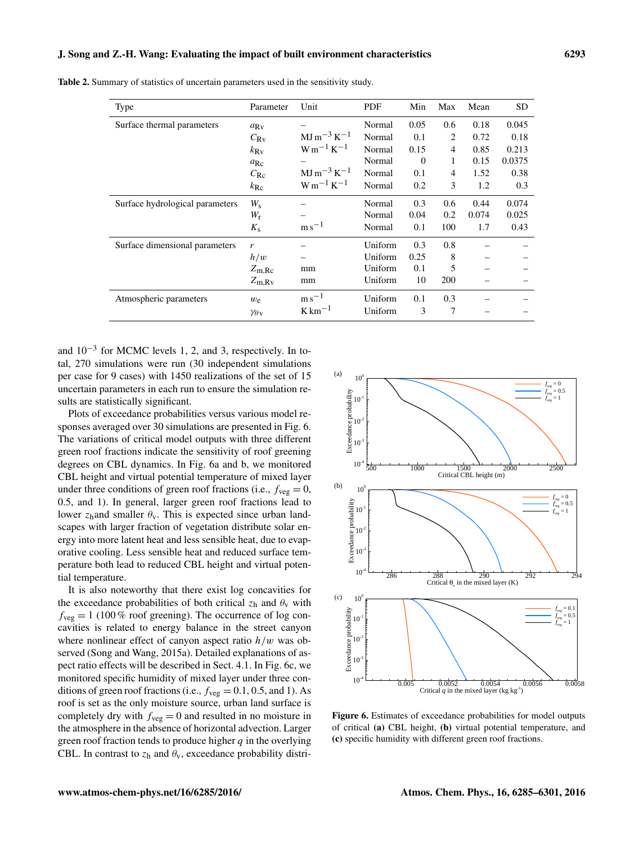| <b>Table 2.</b> Summary of statistics of uncertain parameters used in the sensitivity study. |  |  |  |
|----------------------------------------------------------------------------------------------|--|--|--|
|----------------------------------------------------------------------------------------------|--|--|--|

| Type                            | Parameter                   | Unit                          | <b>PDF</b> | Min      | Max            | Mean  | <b>SD</b> |
|---------------------------------|-----------------------------|-------------------------------|------------|----------|----------------|-------|-----------|
| Surface thermal parameters      | $a_{\text{Rv}}$             |                               | Normal     | 0.05     | 0.6            | 0.18  | 0.045     |
|                                 | $C_{\rm Rv}$                | $MJ\,m^{-3}K^{-1}$            | Normal     | 0.1      | 2              | 0.72  | 0.18      |
|                                 | $k_{\rm RV}$                | $W m^{-1} K^{-1}$             | Normal     | 0.15     | 4              | 0.85  | 0.213     |
|                                 | $a_{\rm Rc}$                |                               | Normal     | $\theta$ | 1              | 0.15  | 0.0375    |
|                                 | $C_{\rm Rc}$                | $MJ\,m^{-3}K^{-1}$            | Normal     | 0.1      | $\overline{4}$ | 1.52  | 0.38      |
|                                 | $k_{\rm Rc}$                | $W m^{-1} K^{-1}$             | Normal     | 0.2      | 3              | 1.2   | 0.3       |
| Surface hydrological parameters | $W_{\rm s}$                 |                               | Normal     | 0.3      | 0.6            | 0.44  | 0.074     |
|                                 | $W_{r}$                     |                               | Normal     | 0.04     | 0.2            | 0.074 | 0.025     |
|                                 | $K_{\rm S}$                 | $\mathrm{m}\,\mathrm{s}^{-1}$ | Normal     | 0.1      | 100            | 1.7   | 0.43      |
| Surface dimensional parameters  | r                           |                               | Uniform    | 0.3      | 0.8            |       |           |
|                                 | h/w                         |                               | Uniform    | 0.25     | 8              |       |           |
|                                 | $Z_{m, Rc}$                 | mm                            | Uniform    | 0.1      | 5              |       |           |
|                                 | $Z_{m,Rv}$                  | mm                            | Uniform    | 10       | 200            |       |           |
| Atmospheric parameters          | $w_{\rm e}$                 | $\mathrm{m}\,\mathrm{s}^{-1}$ | Uniform    | 0.1      | 0.3            |       |           |
|                                 | $\gamma_{\theta\mathrm{v}}$ | $K \text{ km}^{-1}$           | Uniform    | 3        | 7              |       |           |

and 10−<sup>3</sup> for MCMC levels 1, 2, and 3, respectively. In total, 270 simulations were run (30 independent simulations per case for 9 cases) with 1450 realizations of the set of 15 uncertain parameters in each run to ensure the simulation results are statistically significant.

Plots of exceedance probabilities versus various model responses averaged over 30 simulations are presented in Fig. 6. The variations of critical model outputs with three different green roof fractions indicate the sensitivity of roof greening degrees on CBL dynamics. In Fig. 6a and b, we monitored CBL height and virtual potential temperature of mixed layer under three conditions of green roof fractions (i.e.,  $f_{\text{veg}} = 0$ , 0.5, and 1). In general, larger green roof fractions lead to lower  $z<sub>h</sub>$  and smaller  $\theta<sub>v</sub>$ . This is expected since urban landscapes with larger fraction of vegetation distribute solar energy into more latent heat and less sensible heat, due to evaporative cooling. Less sensible heat and reduced surface temperature both lead to reduced CBL height and virtual potential temperature.

It is also noteworthy that there exist log concavities for the exceedance probabilities of both critical  $z_h$  and  $\theta_v$  with  $f_{\text{veg}} = 1$  (100 % roof greening). The occurrence of log concavities is related to energy balance in the street canyon where nonlinear effect of canyon aspect ratio  $h/w$  was observed (Song and Wang, 2015a). Detailed explanations of aspect ratio effects will be described in Sect. 4.1. In Fig. 6c, we monitored specific humidity of mixed layer under three conditions of green roof fractions (i.e.,  $f_{\text{veg}} = 0.1, 0.5,$  and 1). As roof is set as the only moisture source, urban land surface is completely dry with  $f_{\text{veg}} = 0$  and resulted in no moisture in the atmosphere in the absence of horizontal advection. Larger green roof fraction tends to produce higher  $q$  in the overlying CBL. In contrast to  $z_h$  and  $\theta_v$ , exceedance probability distri-



Figure 6. Estimates of exceedance probabilities for model outputs of critical (a) CBL height, (b) virtual potential temperature, and (c) specific humidity with different green roof fractions.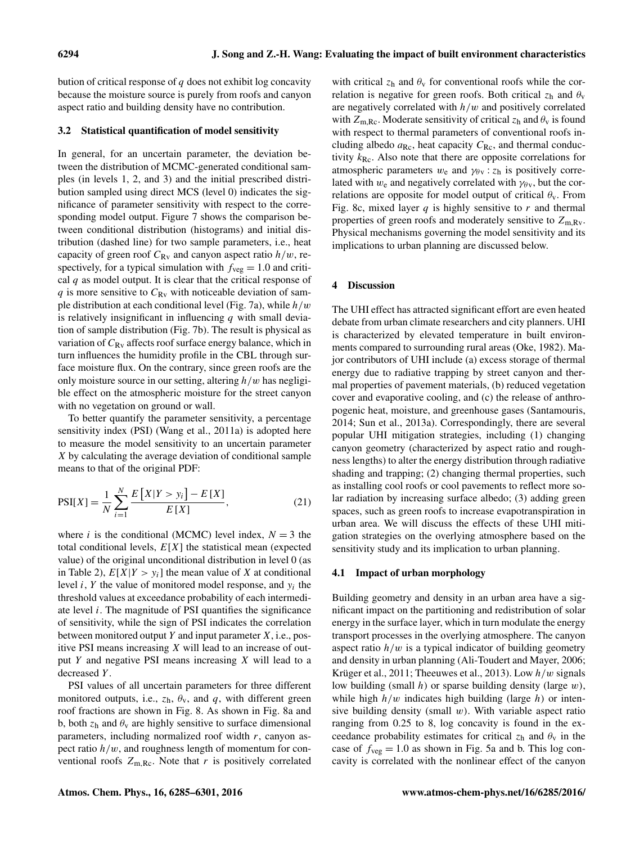bution of critical response of  $q$  does not exhibit log concavity because the moisture source is purely from roofs and canyon aspect ratio and building density have no contribution.

### 3.2 Statistical quantification of model sensitivity

In general, for an uncertain parameter, the deviation between the distribution of MCMC-generated conditional samples (in levels 1, 2, and 3) and the initial prescribed distribution sampled using direct MCS (level 0) indicates the significance of parameter sensitivity with respect to the corresponding model output. Figure 7 shows the comparison between conditional distribution (histograms) and initial distribution (dashed line) for two sample parameters, i.e., heat capacity of green roof  $C_{\text{Rv}}$  and canyon aspect ratio  $h/w$ , respectively, for a typical simulation with  $f_{\text{veg}} = 1.0$  and critical  $q$  as model output. It is clear that the critical response of q is more sensitive to  $C_{Rv}$  with noticeable deviation of sample distribution at each conditional level (Fig. 7a), while  $h/w$ is relatively insignificant in influencing  $q$  with small deviation of sample distribution (Fig. 7b). The result is physical as variation of  $C_{Rv}$  affects roof surface energy balance, which in turn influences the humidity profile in the CBL through surface moisture flux. On the contrary, since green roofs are the only moisture source in our setting, altering  $h/w$  has negligible effect on the atmospheric moisture for the street canyon with no vegetation on ground or wall.

To better quantify the parameter sensitivity, a percentage sensitivity index (PSI) (Wang et al., 2011a) is adopted here to measure the model sensitivity to an uncertain parameter X by calculating the average deviation of conditional sample means to that of the original PDF:

$$
PSI[X] = \frac{1}{N} \sum_{i=1}^{N} \frac{E[X|Y > y_i] - E[X]}{E[X]},
$$
\n(21)

where *i* is the conditional (MCMC) level index,  $N = 3$  the total conditional levels,  $E[X]$  the statistical mean (expected value) of the original unconditional distribution in level 0 (as in Table 2),  $E[X|Y > y_i]$  the mean value of X at conditional level  $i$ ,  $Y$  the value of monitored model response, and  $y_i$  the threshold values at exceedance probability of each intermediate level  $i$ . The magnitude of PSI quantifies the significance of sensitivity, while the sign of PSI indicates the correlation between monitored output Y and input parameter  $X$ , i.e., positive PSI means increasing  $X$  will lead to an increase of output Y and negative PSI means increasing X will lead to a decreased Y.

PSI values of all uncertain parameters for three different monitored outputs, i.e.,  $z_h$ ,  $\theta_v$ , and q, with different green roof fractions are shown in Fig. 8. As shown in Fig. 8a and b, both  $z_h$  and  $\theta_v$  are highly sensitive to surface dimensional parameters, including normalized roof width  $r$ , canyon aspect ratio  $h/w$ , and roughness length of momentum for conventional roofs  $Z_{m, Rc}$ . Note that r is positively correlated

with critical  $z_h$  and  $\theta_v$  for conventional roofs while the correlation is negative for green roofs. Both critical  $z_h$  and  $\theta_v$ are negatively correlated with  $h/w$  and positively correlated with  $Z_{m, Rc}$ . Moderate sensitivity of critical  $z_h$  and  $\theta_v$  is found with respect to thermal parameters of conventional roofs including albedo  $a_{\text{Rc}}$ , heat capacity  $C_{\text{Rc}}$ , and thermal conductivity  $k_{\text{Rc}}$ . Also note that there are opposite correlations for atmospheric parameters  $w_e$  and  $\gamma_{\theta\text{v}}$ :  $z_h$  is positively correlated with  $w_e$  and negatively correlated with  $\gamma_{\theta y}$ , but the correlations are opposite for model output of critical  $\theta_{v}$ . From Fig. 8c, mixed layer  $q$  is highly sensitive to  $r$  and thermal properties of green roofs and moderately sensitive to  $Z_{\rm m.Rv}$ . Physical mechanisms governing the model sensitivity and its implications to urban planning are discussed below.

### 4 Discussion

The UHI effect has attracted significant effort are even heated debate from urban climate researchers and city planners. UHI is characterized by elevated temperature in built environments compared to surrounding rural areas (Oke, 1982). Major contributors of UHI include (a) excess storage of thermal energy due to radiative trapping by street canyon and thermal properties of pavement materials, (b) reduced vegetation cover and evaporative cooling, and (c) the release of anthropogenic heat, moisture, and greenhouse gases (Santamouris, 2014; Sun et al., 2013a). Correspondingly, there are several popular UHI mitigation strategies, including (1) changing canyon geometry (characterized by aspect ratio and roughness lengths) to alter the energy distribution through radiative shading and trapping; (2) changing thermal properties, such as installing cool roofs or cool pavements to reflect more solar radiation by increasing surface albedo; (3) adding green spaces, such as green roofs to increase evapotranspiration in urban area. We will discuss the effects of these UHI mitigation strategies on the overlying atmosphere based on the sensitivity study and its implication to urban planning.

#### 4.1 Impact of urban morphology

Building geometry and density in an urban area have a significant impact on the partitioning and redistribution of solar energy in the surface layer, which in turn modulate the energy transport processes in the overlying atmosphere. The canyon aspect ratio  $h/w$  is a typical indicator of building geometry and density in urban planning (Ali-Toudert and Mayer, 2006; Krüger et al., 2011; Theeuwes et al., 2013). Low  $h/w$  signals low building (small h) or sparse building density (large  $w$ ), while high  $h/w$  indicates high building (large h) or intensive building density (small  $w$ ). With variable aspect ratio ranging from 0.25 to 8, log concavity is found in the exceedance probability estimates for critical  $z_h$  and  $\theta_v$  in the case of  $f_{\text{veg}} = 1.0$  as shown in Fig. 5a and b. This log concavity is correlated with the nonlinear effect of the canyon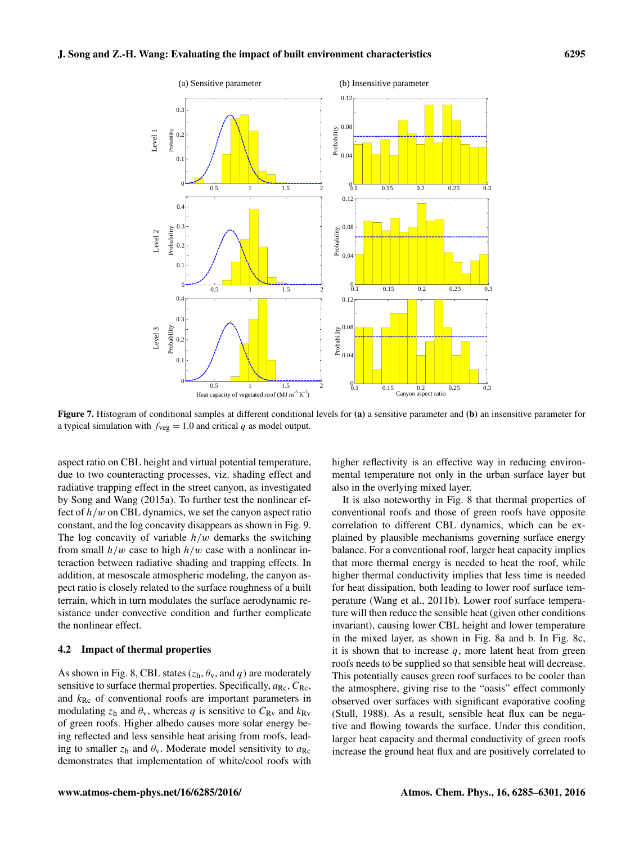

Figure 7. Histogram of conditional samples at different conditional levels for (a) a sensitive parameter and (b) an insensitive parameter for a typical simulation with  $f_{\text{veg}} = 1.0$  and critical q as model output.

aspect ratio on CBL height and virtual potential temperature, due to two counteracting processes, viz. shading effect and radiative trapping effect in the street canyon, as investigated by Song and Wang (2015a). To further test the nonlinear effect of  $h/w$  on CBL dynamics, we set the canyon aspect ratio constant, and the log concavity disappears as shown in Fig. 9. The log concavity of variable  $h/w$  demarks the switching from small  $h/w$  case to high  $h/w$  case with a nonlinear interaction between radiative shading and trapping effects. In addition, at mesoscale atmospheric modeling, the canyon aspect ratio is closely related to the surface roughness of a built terrain, which in turn modulates the surface aerodynamic resistance under convective condition and further complicate the nonlinear effect.

## 4.2 Impact of thermal properties

As shown in Fig. 8, CBL states  $(z_h, \theta_v, \text{and } q)$  are moderately sensitive to surface thermal properties. Specifically,  $a_{\text{Rc}}$ ,  $C_{\text{Rc}}$ , and  $k_{\text{Rc}}$  of conventional roofs are important parameters in modulating  $z_h$  and  $\theta_v$ , whereas q is sensitive to  $C_{Rv}$  and  $k_{Rv}$ of green roofs. Higher albedo causes more solar energy being reflected and less sensible heat arising from roofs, leading to smaller  $z_h$  and  $\theta_v$ . Moderate model sensitivity to  $a_{\text{Rc}}$ demonstrates that implementation of white/cool roofs with higher reflectivity is an effective way in reducing environmental temperature not only in the urban surface layer but also in the overlying mixed layer.

It is also noteworthy in Fig. 8 that thermal properties of conventional roofs and those of green roofs have opposite correlation to different CBL dynamics, which can be explained by plausible mechanisms governing surface energy balance. For a conventional roof, larger heat capacity implies that more thermal energy is needed to heat the roof, while higher thermal conductivity implies that less time is needed for heat dissipation, both leading to lower roof surface temperature (Wang et al., 2011b). Lower roof surface temperature will then reduce the sensible heat (given other conditions invariant), causing lower CBL height and lower temperature in the mixed layer, as shown in Fig. 8a and b. In Fig. 8c, it is shown that to increase  $q$ , more latent heat from green roofs needs to be supplied so that sensible heat will decrease. This potentially causes green roof surfaces to be cooler than the atmosphere, giving rise to the "oasis" effect commonly observed over surfaces with significant evaporative cooling (Stull, 1988). As a result, sensible heat flux can be negative and flowing towards the surface. Under this condition, larger heat capacity and thermal conductivity of green roofs increase the ground heat flux and are positively correlated to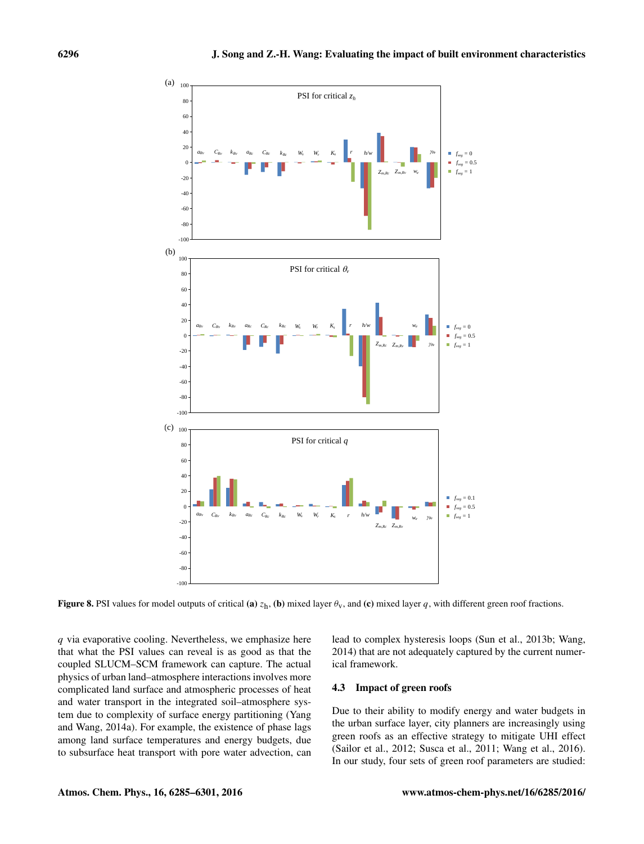

Figure 8. PSI values for model outputs of critical (a)  $z_h$ , (b) mixed layer  $\theta_v$ , and (c) mixed layer q, with different green roof fractions.

 $q$  via evaporative cooling. Nevertheless, we emphasize here that what the PSI values can reveal is as good as that the coupled SLUCM–SCM framework can capture. The actual physics of urban land–atmosphere interactions involves more complicated land surface and atmospheric processes of heat and water transport in the integrated soil–atmosphere system due to complexity of surface energy partitioning (Yang and Wang, 2014a). For example, the existence of phase lags among land surface temperatures and energy budgets, due to subsurface heat transport with pore water advection, can lead to complex hysteresis loops (Sun et al., 2013b; Wang, 2014) that are not adequately captured by the current numerical framework.

#### 4.3 Impact of green roofs

Due to their ability to modify energy and water budgets in the urban surface layer, city planners are increasingly using green roofs as an effective strategy to mitigate UHI effect (Sailor et al., 2012; Susca et al., 2011; Wang et al., 2016). In our study, four sets of green roof parameters are studied: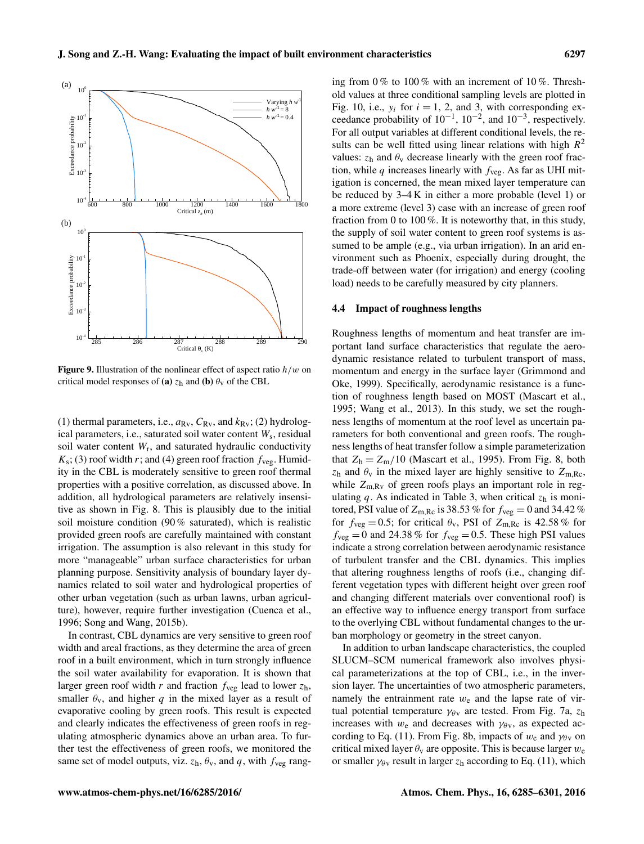

**Figure 9.** Illustration of the nonlinear effect of aspect ratio  $h/w$  on critical model responses of (a)  $z_h$  and (b)  $\theta_v$  of the CBL

(1) thermal parameters, i.e.,  $a_{Rv}$ ,  $C_{Rv}$ , and  $k_{Rv}$ ; (2) hydrological parameters, i.e., saturated soil water content  $W_s$ , residual soil water content  $W_r$ , and saturated hydraulic conductivity  $K_s$ ; (3) roof width r; and (4) green roof fraction  $f_{\text{ve}g}$ . Humidity in the CBL is moderately sensitive to green roof thermal properties with a positive correlation, as discussed above. In addition, all hydrological parameters are relatively insensitive as shown in Fig. 8. This is plausibly due to the initial soil moisture condition (90 % saturated), which is realistic provided green roofs are carefully maintained with constant irrigation. The assumption is also relevant in this study for more "manageable" urban surface characteristics for urban planning purpose. Sensitivity analysis of boundary layer dynamics related to soil water and hydrological properties of other urban vegetation (such as urban lawns, urban agriculture), however, require further investigation (Cuenca et al., 1996; Song and Wang, 2015b).

In contrast, CBL dynamics are very sensitive to green roof width and areal fractions, as they determine the area of green roof in a built environment, which in turn strongly influence the soil water availability for evaporation. It is shown that larger green roof width r and fraction  $f_{\text{veg}}$  lead to lower  $z_h$ , smaller  $\theta_v$ , and higher q in the mixed layer as a result of evaporative cooling by green roofs. This result is expected and clearly indicates the effectiveness of green roofs in regulating atmospheric dynamics above an urban area. To further test the effectiveness of green roofs, we monitored the same set of model outputs, viz.  $z_h$ ,  $\theta_v$ , and q, with  $f_{\text{veg}}$  ranging from  $0\%$  to  $100\%$  with an increment of  $10\%$ . Threshold values at three conditional sampling levels are plotted in Fig. 10, i.e.,  $y_i$  for  $i = 1, 2$ , and 3, with corresponding exceedance probability of  $10^{-1}$ ,  $10^{-2}$ , and  $10^{-3}$ , respectively. For all output variables at different conditional levels, the results can be well fitted using linear relations with high  $R^2$ values:  $z_h$  and  $\theta_v$  decrease linearly with the green roof fraction, while  $q$  increases linearly with  $f_{\text{veg}}$ . As far as UHI mitigation is concerned, the mean mixed layer temperature can be reduced by 3–4 K in either a more probable (level 1) or a more extreme (level 3) case with an increase of green roof fraction from 0 to 100 %. It is noteworthy that, in this study, the supply of soil water content to green roof systems is assumed to be ample (e.g., via urban irrigation). In an arid environment such as Phoenix, especially during drought, the trade-off between water (for irrigation) and energy (cooling load) needs to be carefully measured by city planners.

#### 4.4 Impact of roughness lengths

Roughness lengths of momentum and heat transfer are important land surface characteristics that regulate the aerodynamic resistance related to turbulent transport of mass, momentum and energy in the surface layer (Grimmond and Oke, 1999). Specifically, aerodynamic resistance is a function of roughness length based on MOST (Mascart et al., 1995; Wang et al., 2013). In this study, we set the roughness lengths of momentum at the roof level as uncertain parameters for both conventional and green roofs. The roughness lengths of heat transfer follow a simple parameterization that  $Z_h = Z_m/10$  (Mascart et al., 1995). From Fig. 8, both  $z_h$  and  $\theta_v$  in the mixed layer are highly sensitive to  $Z_{m,Re}$ , while  $Z_{\rm m,Rv}$  of green roofs plays an important role in regulating q. As indicated in Table 3, when critical  $z<sub>h</sub>$  is monitored, PSI value of  $Z_{\rm m, Rc}$  is 38.53 % for  $f_{\rm veg} = 0$  and 34.42 % for  $f_{\text{veg}} = 0.5$ ; for critical  $\theta_{\text{v}}$ , PSI of  $Z_{\text{m,}Rc}$  is 42.58 % for  $f_{\text{veg}} = 0$  and 24.38 % for  $f_{\text{veg}} = 0.5$ . These high PSI values indicate a strong correlation between aerodynamic resistance of turbulent transfer and the CBL dynamics. This implies that altering roughness lengths of roofs (i.e., changing different vegetation types with different height over green roof and changing different materials over conventional roof) is an effective way to influence energy transport from surface to the overlying CBL without fundamental changes to the urban morphology or geometry in the street canyon.

In addition to urban landscape characteristics, the coupled SLUCM–SCM numerical framework also involves physical parameterizations at the top of CBL, i.e., in the inversion layer. The uncertainties of two atmospheric parameters, namely the entrainment rate  $w_e$  and the lapse rate of virtual potential temperature  $\gamma_{\theta\gamma}$  are tested. From Fig. 7a,  $z_h$ increases with  $w_e$  and decreases with  $\gamma_{\theta y}$ , as expected according to Eq. (11). From Fig. 8b, impacts of  $w_e$  and  $\gamma_{\theta v}$  on critical mixed layer  $\theta_{v}$  are opposite. This is because larger  $w_{e}$ or smaller  $\gamma_{\theta\gamma}$  result in larger  $z_h$  according to Eq. (11), which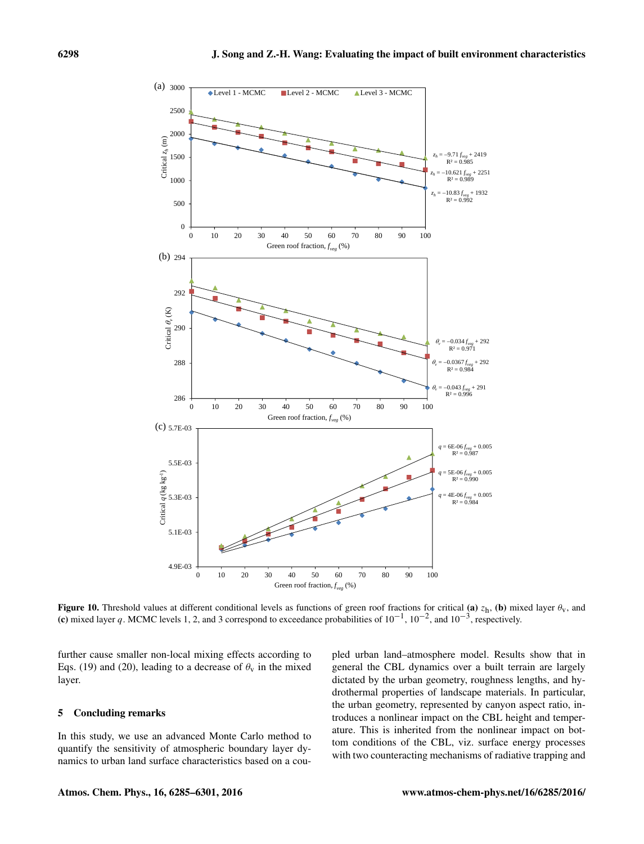

Figure 10. Threshold values at different conditional levels as functions of green roof fractions for critical (a)  $z_h$ , (b) mixed layer  $\theta_v$ , and (c) mixed layer q. MCMC levels 1, 2, and 3 correspond to exceedance probabilities of  $10^{-1}$ ,  $10^{-2}$ , and  $10^{-3}$ , respectively.

further cause smaller non-local mixing effects according to Eqs. (19) and (20), leading to a decrease of  $\theta_{\rm v}$  in the mixed layer.

## 5 Concluding remarks

In this study, we use an advanced Monte Carlo method to quantify the sensitivity of atmospheric boundary layer dynamics to urban land surface characteristics based on a coupled urban land–atmosphere model. Results show that in general the CBL dynamics over a built terrain are largely dictated by the urban geometry, roughness lengths, and hydrothermal properties of landscape materials. In particular, the urban geometry, represented by canyon aspect ratio, introduces a nonlinear impact on the CBL height and temperature. This is inherited from the nonlinear impact on bottom conditions of the CBL, viz. surface energy processes with two counteracting mechanisms of radiative trapping and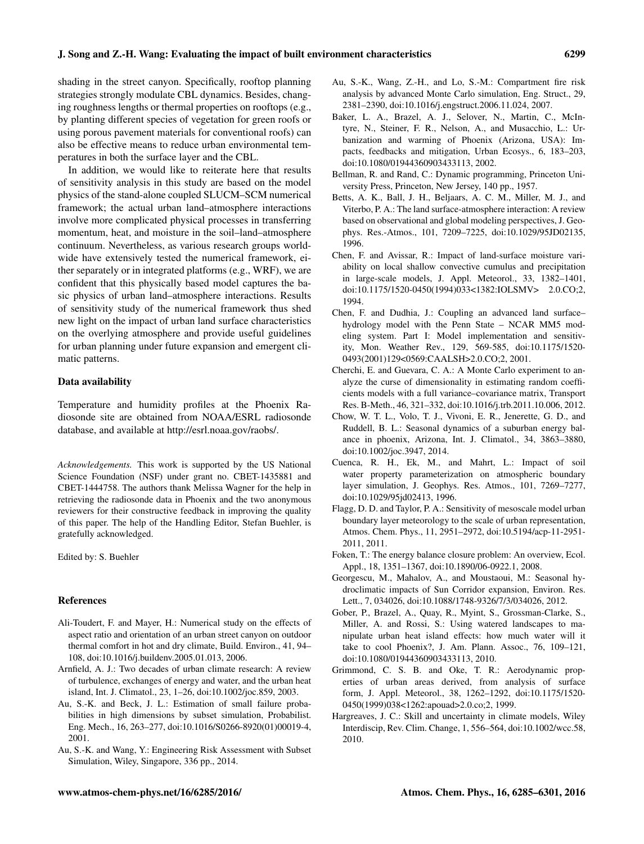shading in the street canyon. Specifically, rooftop planning strategies strongly modulate CBL dynamics. Besides, changing roughness lengths or thermal properties on rooftops (e.g., by planting different species of vegetation for green roofs or using porous pavement materials for conventional roofs) can also be effective means to reduce urban environmental temperatures in both the surface layer and the CBL.

In addition, we would like to reiterate here that results of sensitivity analysis in this study are based on the model physics of the stand-alone coupled SLUCM–SCM numerical framework; the actual urban land–atmosphere interactions involve more complicated physical processes in transferring momentum, heat, and moisture in the soil–land–atmosphere continuum. Nevertheless, as various research groups worldwide have extensively tested the numerical framework, either separately or in integrated platforms (e.g., WRF), we are confident that this physically based model captures the basic physics of urban land–atmosphere interactions. Results of sensitivity study of the numerical framework thus shed new light on the impact of urban land surface characteristics on the overlying atmosphere and provide useful guidelines for urban planning under future expansion and emergent climatic patterns.

## Data availability

Temperature and humidity profiles at the Phoenix Radiosonde site are obtained from NOAA/ESRL radiosonde database, and available at [http://esrl.noaa.gov/raobs/.](http://esrl.noaa.gov/raobs/)

*Acknowledgements.* This work is supported by the US National Science Foundation (NSF) under grant no. CBET-1435881 and CBET-1444758. The authors thank Melissa Wagner for the help in retrieving the radiosonde data in Phoenix and the two anonymous reviewers for their constructive feedback in improving the quality of this paper. The help of the Handling Editor, Stefan Buehler, is gratefully acknowledged.

Edited by: S. Buehler

#### References

- Ali-Toudert, F. and Mayer, H.: Numerical study on the effects of aspect ratio and orientation of an urban street canyon on outdoor thermal comfort in hot and dry climate, Build. Environ., 41, 94– 108, doi[:10.1016/j.buildenv.2005.01.013,](http://dx.doi.org/10.1016/j.buildenv.2005.01.013) 2006.
- Arnfield, A. J.: Two decades of urban climate research: A review of turbulence, exchanges of energy and water, and the urban heat island, Int. J. Climatol., 23, 1–26, doi[:10.1002/joc.859,](http://dx.doi.org/10.1002/joc.859) 2003.
- Au, S.-K. and Beck, J. L.: Estimation of small failure probabilities in high dimensions by subset simulation, Probabilist. Eng. Mech., 16, 263–277, doi[:10.1016/S0266-8920\(01\)00019-4,](http://dx.doi.org/10.1016/S0266-8920(01)00019-4) 2001.
- Au, S.-K. and Wang, Y.: Engineering Risk Assessment with Subset Simulation, Wiley, Singapore, 336 pp., 2014.
- Au, S.-K., Wang, Z.-H., and Lo, S.-M.: Compartment fire risk analysis by advanced Monte Carlo simulation, Eng. Struct., 29, 2381–2390, doi[:10.1016/j.engstruct.2006.11.024,](http://dx.doi.org/10.1016/j.engstruct.2006.11.024) 2007.
- Baker, L. A., Brazel, A. J., Selover, N., Martin, C., McIntyre, N., Steiner, F. R., Nelson, A., and Musacchio, L.: Urbanization and warming of Phoenix (Arizona, USA): Impacts, feedbacks and mitigation, Urban Ecosys., 6, 183–203, doi[:10.1080/01944360903433113,](http://dx.doi.org/10.1080/01944360903433113) 2002.
- Bellman, R. and Rand, C.: Dynamic programming, Princeton University Press, Princeton, New Jersey, 140 pp., 1957.
- Betts, A. K., Ball, J. H., Beljaars, A. C. M., Miller, M. J., and Viterbo, P. A.: The land surface-atmosphere interaction: A review based on observational and global modeling perspectives, J. Geophys. Res.-Atmos., 101, 7209–7225, doi[:10.1029/95JD02135,](http://dx.doi.org/10.1029/95JD02135) 1996.
- Chen, F. and Avissar, R.: Impact of land-surface moisture variability on local shallow convective cumulus and precipitation in large-scale models, J. Appl. Meteorol., 33, 1382–1401, doi[:10.1175/1520-0450\(1994\)033<1382:IOLSMV> 2.0.CO;2,](http://dx.doi.org/10.1175/1520-0450(1994)033<1382:IOLSMV> 2.0.CO;2) 1994.
- Chen, F. and Dudhia, J.: Coupling an advanced land surface– hydrology model with the Penn State – NCAR MM5 modeling system. Part I: Model implementation and sensitivity, Mon. Weather Rev., 129, 569-585, doi[:10.1175/1520-](http://dx.doi.org/10.1175/1520-0493(2001)129<0569:CAALSH>2.0.CO;2) [0493\(2001\)129<0569:CAALSH>2.0.CO;2,](http://dx.doi.org/10.1175/1520-0493(2001)129<0569:CAALSH>2.0.CO;2) 2001.
- Cherchi, E. and Guevara, C. A.: A Monte Carlo experiment to analyze the curse of dimensionality in estimating random coefficients models with a full variance–covariance matrix, Transport Res. B-Meth., 46, 321–332, doi[:10.1016/j.trb.2011.10.006,](http://dx.doi.org/10.1016/j.trb.2011.10.006) 2012.
- Chow, W. T. L., Volo, T. J., Vivoni, E. R., Jenerette, G. D., and Ruddell, B. L.: Seasonal dynamics of a suburban energy balance in phoenix, Arizona, Int. J. Climatol., 34, 3863–3880, doi[:10.1002/joc.3947,](http://dx.doi.org/10.1002/joc.3947) 2014.
- Cuenca, R. H., Ek, M., and Mahrt, L.: Impact of soil water property parameterization on atmospheric boundary layer simulation, J. Geophys. Res. Atmos., 101, 7269–7277, doi[:10.1029/95jd02413,](http://dx.doi.org/10.1029/95jd02413) 1996.
- Flagg, D. D. and Taylor, P. A.: Sensitivity of mesoscale model urban boundary layer meteorology to the scale of urban representation, Atmos. Chem. Phys., 11, 2951–2972, doi[:10.5194/acp-11-2951-](http://dx.doi.org/10.5194/acp-11-2951-2011) [2011,](http://dx.doi.org/10.5194/acp-11-2951-2011) 2011.
- Foken, T.: The energy balance closure problem: An overview, Ecol. Appl., 18, 1351–1367, doi[:10.1890/06-0922.1,](http://dx.doi.org/10.1890/06-0922.1) 2008.
- Georgescu, M., Mahalov, A., and Moustaoui, M.: Seasonal hydroclimatic impacts of Sun Corridor expansion, Environ. Res. Lett., 7, 034026, doi[:10.1088/1748-9326/7/3/034026,](http://dx.doi.org/10.1088/1748-9326/7/3/034026) 2012.
- Gober, P., Brazel, A., Quay, R., Myint, S., Grossman-Clarke, S., Miller, A. and Rossi, S.: Using watered landscapes to manipulate urban heat island effects: how much water will it take to cool Phoenix?, J. Am. Plann. Assoc., 76, 109–121, doi[:10.1080/01944360903433113,](http://dx.doi.org/10.1080/01944360903433113) 2010.
- Grimmond, C. S. B. and Oke, T. R.: Aerodynamic properties of urban areas derived, from analysis of surface form, J. Appl. Meteorol., 38, 1262–1292, doi[:10.1175/1520-](http://dx.doi.org/10.1175/1520-0450(1999)038<1262:apouad>2.0.co;2) [0450\(1999\)038<1262:apouad>2.0.co;2,](http://dx.doi.org/10.1175/1520-0450(1999)038<1262:apouad>2.0.co;2) 1999.
- Hargreaves, J. C.: Skill and uncertainty in climate models, Wiley Interdiscip, Rev. Clim. Change, 1, 556–564, doi[:10.1002/wcc.58,](http://dx.doi.org/10.1002/wcc.58) 2010.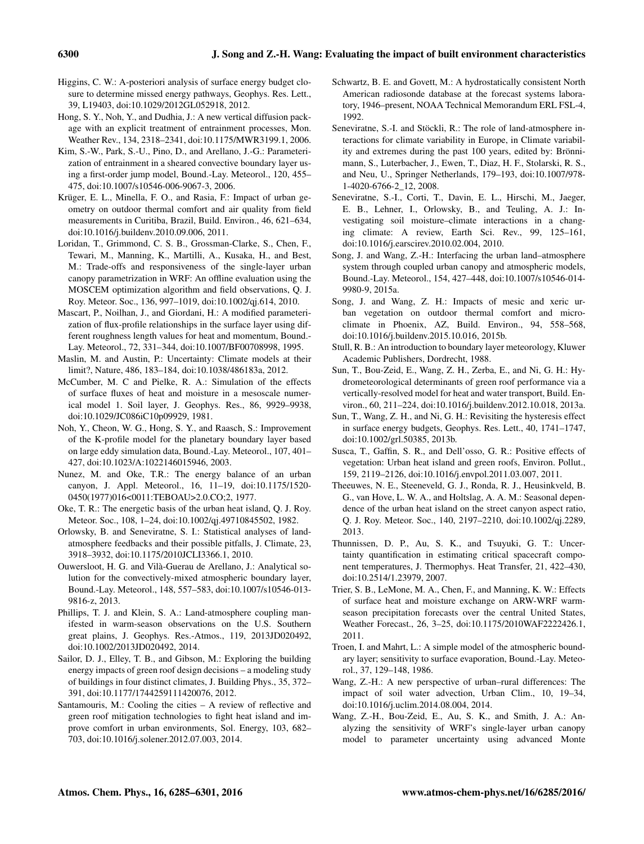- Higgins, C. W.: A-posteriori analysis of surface energy budget closure to determine missed energy pathways, Geophys. Res. Lett., 39, L19403, doi[:10.1029/2012GL052918,](http://dx.doi.org/10.1029/2012GL052918) 2012.
- Hong, S. Y., Noh, Y., and Dudhia, J.: A new vertical diffusion package with an explicit treatment of entrainment processes, Mon. Weather Rev., 134, 2318–2341, doi[:10.1175/MWR3199.1,](http://dx.doi.org/10.1175/MWR3199.1) 2006.
- Kim, S.-W., Park, S.-U., Pino, D., and Arellano, J.-G.: Parameterization of entrainment in a sheared convective boundary layer using a first-order jump model, Bound.-Lay. Meteorol., 120, 455– 475, doi[:10.1007/s10546-006-9067-3,](http://dx.doi.org/10.1007/s10546-006-9067-3) 2006.
- Krüger, E. L., Minella, F. O., and Rasia, F.: Impact of urban geometry on outdoor thermal comfort and air quality from field measurements in Curitiba, Brazil, Build. Environ., 46, 621–634, doi[:10.1016/j.buildenv.2010.09.006,](http://dx.doi.org/10.1016/j.buildenv.2010.09.006) 2011.
- Loridan, T., Grimmond, C. S. B., Grossman-Clarke, S., Chen, F., Tewari, M., Manning, K., Martilli, A., Kusaka, H., and Best, M.: Trade-offs and responsiveness of the single-layer urban canopy parametrization in WRF: An offline evaluation using the MOSCEM optimization algorithm and field observations, Q. J. Roy. Meteor. Soc., 136, 997–1019, doi[:10.1002/qj.614,](http://dx.doi.org/10.1002/qj.614) 2010.
- Mascart, P., Noilhan, J., and Giordani, H.: A modified parameterization of flux-profile relationships in the surface layer using different roughness length values for heat and momentum, Bound.- Lay. Meteorol., 72, 331–344, doi[:10.1007/BF00708998,](http://dx.doi.org/10.1007/BF00708998) 1995.
- Maslin, M. and Austin, P.: Uncertainty: Climate models at their limit?, Nature, 486, 183–184, doi[:10.1038/486183a,](http://dx.doi.org/10.1038/486183a) 2012.
- McCumber, M. C and Pielke, R. A.: Simulation of the effects of surface fluxes of heat and moisture in a mesoscale numerical model 1. Soil layer, J. Geophys. Res., 86, 9929–9938, doi[:10.1029/JC086iC10p09929,](http://dx.doi.org/10.1029/JC086iC10p09929) 1981.
- Noh, Y., Cheon, W. G., Hong, S. Y., and Raasch, S.: Improvement of the K-profile model for the planetary boundary layer based on large eddy simulation data, Bound.-Lay. Meteorol., 107, 401– 427, doi[:10.1023/A:1022146015946,](http://dx.doi.org/10.1023/A:1022146015946) 2003.
- Nunez, M. and Oke, T.R.: The energy balance of an urban canyon, J. Appl. Meteorol., 16, 11–19, doi[:10.1175/1520-](http://dx.doi.org/10.1175/1520-0450(1977)016<0011:TEBOAU>2.0.CO;2) [0450\(1977\)016<0011:TEBOAU>2.0.CO;2,](http://dx.doi.org/10.1175/1520-0450(1977)016<0011:TEBOAU>2.0.CO;2) 1977.
- Oke, T. R.: The energetic basis of the urban heat island, Q. J. Roy. Meteor. Soc., 108, 1–24, doi[:10.1002/qj.49710845502,](http://dx.doi.org/10.1002/qj.49710845502) 1982.
- Orlowsky, B. and Seneviratne, S. I.: Statistical analyses of landatmosphere feedbacks and their possible pitfalls, J. Climate, 23, 3918–3932, doi[:10.1175/2010JCLI3366.1,](http://dx.doi.org/10.1175/2010JCLI3366.1) 2010.
- Ouwersloot, H. G. and Vilà-Guerau de Arellano, J.: Analytical solution for the convectively-mixed atmospheric boundary layer, Bound.-Lay. Meteorol., 148, 557–583, doi[:10.1007/s10546-013-](http://dx.doi.org/10.1007/s10546-013-9816-z) [9816-z,](http://dx.doi.org/10.1007/s10546-013-9816-z) 2013.
- Phillips, T. J. and Klein, S. A.: Land-atmosphere coupling manifested in warm-season observations on the U.S. Southern great plains, J. Geophys. Res.-Atmos., 119, 2013JD020492, doi[:10.1002/2013JD020492,](http://dx.doi.org/10.1002/2013JD020492) 2014.
- Sailor, D. J., Elley, T. B., and Gibson, M.: Exploring the building energy impacts of green roof design decisions – a modeling study of buildings in four distinct climates, J. Building Phys., 35, 372– 391, doi[:10.1177/1744259111420076,](http://dx.doi.org/10.1177/1744259111420076) 2012.
- Santamouris, M.: Cooling the cities A review of reflective and green roof mitigation technologies to fight heat island and improve comfort in urban environments, Sol. Energy, 103, 682– 703, doi[:10.1016/j.solener.2012.07.003,](http://dx.doi.org/10.1016/j.solener.2012.07.003) 2014.
- Schwartz, B. E. and Govett, M.: A hydrostatically consistent North American radiosonde database at the forecast systems laboratory, 1946–present, NOAA Technical Memorandum ERL FSL-4, 1992.
- Seneviratne, S.-I. and Stöckli, R.: The role of land-atmosphere interactions for climate variability in Europe, in Climate variability and extremes during the past 100 years, edited by: Brönnimann, S., Luterbacher, J., Ewen, T., Diaz, H. F., Stolarski, R. S., and Neu, U., Springer Netherlands, 179–193, doi[:10.1007/978-](http://dx.doi.org/10.1007/978-1-4020-6766-2_12) [1-4020-6766-2\\_12,](http://dx.doi.org/10.1007/978-1-4020-6766-2_12) 2008.
- Seneviratne, S.-I., Corti, T., Davin, E. L., Hirschi, M., Jaeger, E. B., Lehner, I., Orlowsky, B., and Teuling, A. J.: Investigating soil moisture–climate interactions in a changing climate: A review, Earth Sci. Rev., 99, 125–161, doi[:10.1016/j.earscirev.2010.02.004,](http://dx.doi.org/10.1016/j.earscirev.2010.02.004) 2010.
- Song, J. and Wang, Z.-H.: Interfacing the urban land–atmosphere system through coupled urban canopy and atmospheric models, Bound.-Lay. Meteorol., 154, 427–448, doi[:10.1007/s10546-014-](http://dx.doi.org/10.1007/s10546-014-9980-9) [9980-9,](http://dx.doi.org/10.1007/s10546-014-9980-9) 2015a.
- Song, J. and Wang, Z. H.: Impacts of mesic and xeric urban vegetation on outdoor thermal comfort and microclimate in Phoenix, AZ, Build. Environ., 94, 558–568, doi[:10.1016/j.buildenv.2015.10.016,](http://dx.doi.org/10.1016/j.buildenv.2015.10.016) 2015b.
- Stull, R. B.: An introduction to boundary layer meteorology, Kluwer Academic Publishers, Dordrecht, 1988.
- Sun, T., Bou-Zeid, E., Wang, Z. H., Zerba, E., and Ni, G. H.: Hydrometeorological determinants of green roof performance via a vertically-resolved model for heat and water transport, Build. Environ., 60, 211–224, doi[:10.1016/j.buildenv.2012.10.018,](http://dx.doi.org/10.1016/j.buildenv.2012.10.018) 2013a.
- Sun, T., Wang, Z. H., and Ni, G. H.: Revisiting the hysteresis effect in surface energy budgets, Geophys. Res. Lett., 40, 1741–1747, doi[:10.1002/grl.50385,](http://dx.doi.org/10.1002/grl.50385) 2013b.
- Susca, T., Gaffin, S. R., and Dell'osso, G. R.: Positive effects of vegetation: Urban heat island and green roofs, Environ. Pollut., 159, 2119–2126, doi[:10.1016/j.envpol.2011.03.007,](http://dx.doi.org/10.1016/j.envpol.2011.03.007) 2011.
- Theeuwes, N. E., Steeneveld, G. J., Ronda, R. J., Heusinkveld, B. G., van Hove, L. W. A., and Holtslag, A. A. M.: Seasonal dependence of the urban heat island on the street canyon aspect ratio, Q. J. Roy. Meteor. Soc., 140, 2197–2210, doi[:10.1002/qj.2289,](http://dx.doi.org/10.1002/qj.2289) 2013.
- Thunnissen, D. P., Au, S. K., and Tsuyuki, G. T.: Uncertainty quantification in estimating critical spacecraft component temperatures, J. Thermophys. Heat Transfer, 21, 422–430, doi[:10.2514/1.23979,](http://dx.doi.org/10.2514/1.23979) 2007.
- Trier, S. B., LeMone, M. A., Chen, F., and Manning, K. W.: Effects of surface heat and moisture exchange on ARW-WRF warmseason precipitation forecasts over the central United States, Weather Forecast., 26, 3–25, doi[:10.1175/2010WAF2222426.1,](http://dx.doi.org/10.1175/2010WAF2222426.1) 2011.
- Troen, I. and Mahrt, L.: A simple model of the atmospheric boundary layer; sensitivity to surface evaporation, Bound.-Lay. Meteorol., 37, 129–148, 1986.
- Wang, Z.-H.: A new perspective of urban–rural differences: The impact of soil water advection, Urban Clim., 10, 19–34, doi[:10.1016/j.uclim.2014.08.004,](http://dx.doi.org/10.1016/j.uclim.2014.08.004) 2014.
- Wang, Z.-H., Bou-Zeid, E., Au, S. K., and Smith, J. A.: Analyzing the sensitivity of WRF's single-layer urban canopy model to parameter uncertainty using advanced Monte